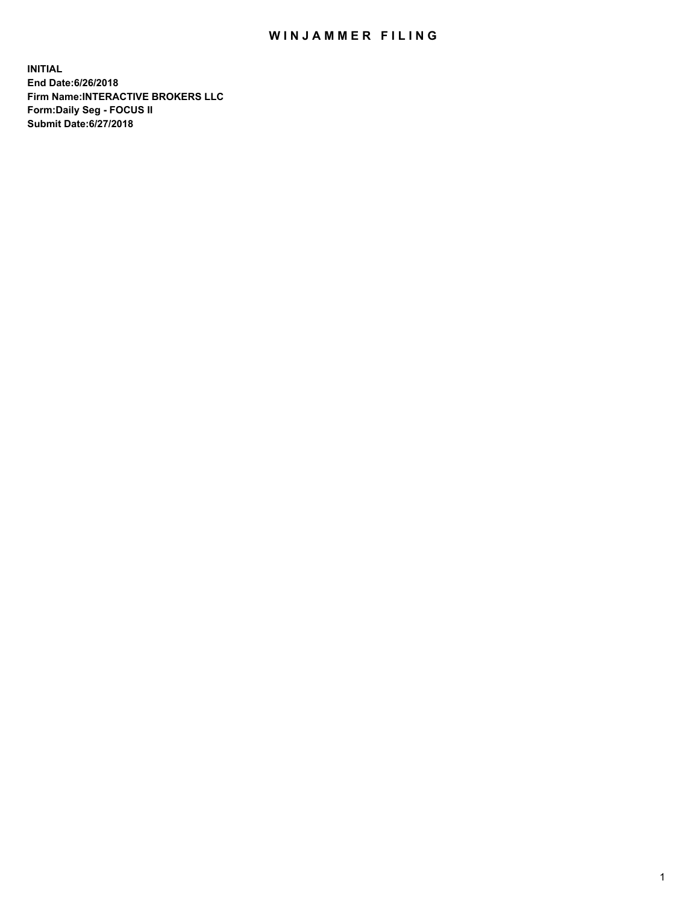## WIN JAMMER FILING

**INITIAL End Date:6/26/2018 Firm Name:INTERACTIVE BROKERS LLC Form:Daily Seg - FOCUS II Submit Date:6/27/2018**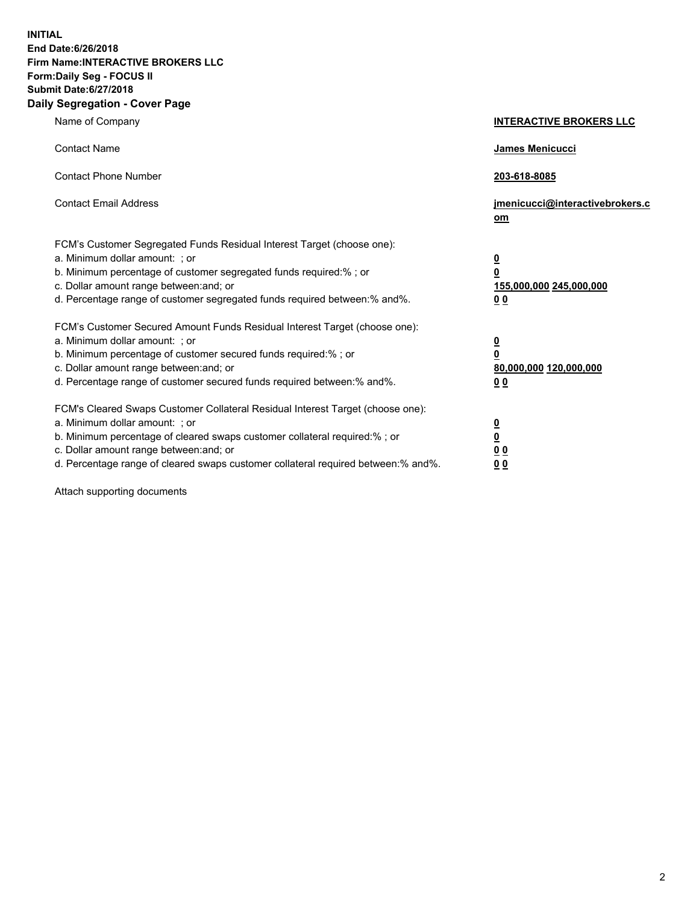**INITIAL End Date:6/26/2018 Firm Name:INTERACTIVE BROKERS LLC Form:Daily Seg - FOCUS II Submit Date:6/27/2018 Daily Segregation - Cover Page**

| Name of Company                                                                                                                                                                                                                                                                                                                | <b>INTERACTIVE BROKERS LLC</b>                                                   |
|--------------------------------------------------------------------------------------------------------------------------------------------------------------------------------------------------------------------------------------------------------------------------------------------------------------------------------|----------------------------------------------------------------------------------|
| <b>Contact Name</b>                                                                                                                                                                                                                                                                                                            | James Menicucci                                                                  |
| <b>Contact Phone Number</b>                                                                                                                                                                                                                                                                                                    | 203-618-8085                                                                     |
| <b>Contact Email Address</b>                                                                                                                                                                                                                                                                                                   | jmenicucci@interactivebrokers.c<br>om                                            |
| FCM's Customer Segregated Funds Residual Interest Target (choose one):<br>a. Minimum dollar amount: ; or<br>b. Minimum percentage of customer segregated funds required:% ; or<br>c. Dollar amount range between: and; or<br>d. Percentage range of customer segregated funds required between:% and%.                         | <u>0</u><br>$\overline{\mathbf{0}}$<br>155,000,000 245,000,000<br>0 <sub>0</sub> |
| FCM's Customer Secured Amount Funds Residual Interest Target (choose one):<br>a. Minimum dollar amount: ; or<br>b. Minimum percentage of customer secured funds required:% ; or<br>c. Dollar amount range between: and; or<br>d. Percentage range of customer secured funds required between:% and%.                           | <u>0</u><br>$\overline{\mathbf{0}}$<br>80,000,000 120,000,000<br>0 <sub>0</sub>  |
| FCM's Cleared Swaps Customer Collateral Residual Interest Target (choose one):<br>a. Minimum dollar amount: ; or<br>b. Minimum percentage of cleared swaps customer collateral required:% ; or<br>c. Dollar amount range between: and; or<br>d. Percentage range of cleared swaps customer collateral required between:% and%. | <u>0</u><br>$\underline{\mathbf{0}}$<br>0 <sub>0</sub><br>0 <sub>0</sub>         |

Attach supporting documents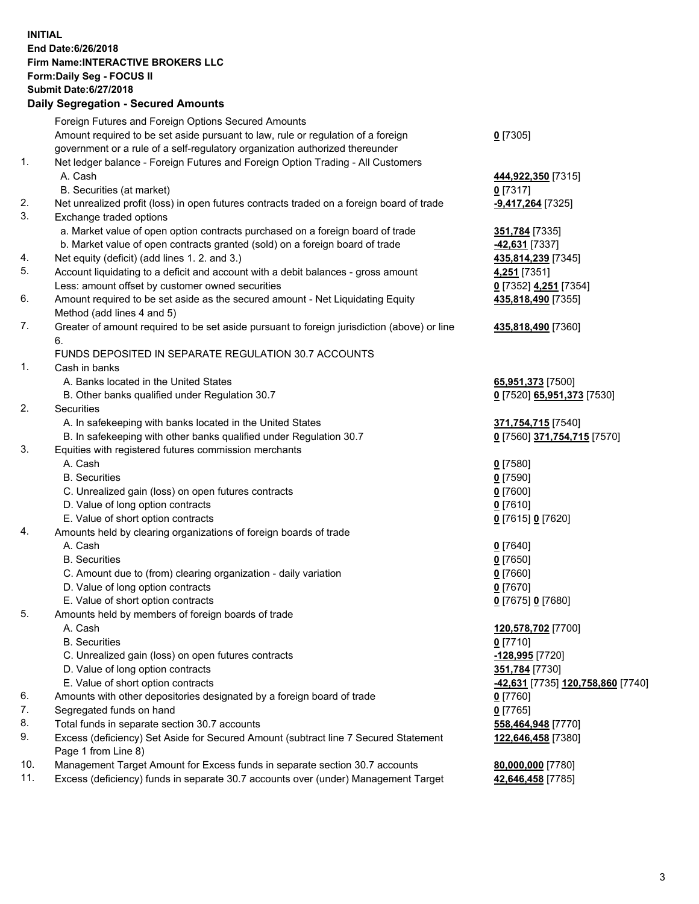## **INITIAL End Date:6/26/2018 Firm Name:INTERACTIVE BROKERS LLC Form:Daily Seg - FOCUS II Submit Date:6/27/2018 Daily Segregation - Secured Amounts**

|                | Dany Ocgi cganon - Occarca Anioante                                                         |                                                               |
|----------------|---------------------------------------------------------------------------------------------|---------------------------------------------------------------|
|                | Foreign Futures and Foreign Options Secured Amounts                                         |                                                               |
|                | Amount required to be set aside pursuant to law, rule or regulation of a foreign            | $0$ [7305]                                                    |
|                | government or a rule of a self-regulatory organization authorized thereunder                |                                                               |
| $\mathbf{1}$ . | Net ledger balance - Foreign Futures and Foreign Option Trading - All Customers             |                                                               |
|                | A. Cash                                                                                     | 444,922,350 [7315]                                            |
|                | B. Securities (at market)                                                                   | 0 [7317]                                                      |
| 2.             | Net unrealized profit (loss) in open futures contracts traded on a foreign board of trade   | -9,417,264 [7325]                                             |
| 3.             | Exchange traded options                                                                     |                                                               |
|                | a. Market value of open option contracts purchased on a foreign board of trade              | 351,784 [7335]                                                |
|                | b. Market value of open contracts granted (sold) on a foreign board of trade                | 42,631 [7337]                                                 |
| 4.             | Net equity (deficit) (add lines 1. 2. and 3.)                                               | 435,814,239 [7345]                                            |
| 5.             | Account liquidating to a deficit and account with a debit balances - gross amount           | 4,251 [7351]                                                  |
|                | Less: amount offset by customer owned securities                                            | 0 [7352] 4,251 [7354]                                         |
| 6.             | Amount required to be set aside as the secured amount - Net Liquidating Equity              | 435,818,490 [7355]                                            |
|                | Method (add lines 4 and 5)                                                                  |                                                               |
| 7.             | Greater of amount required to be set aside pursuant to foreign jurisdiction (above) or line | 435,818,490 [7360]                                            |
|                | 6.                                                                                          |                                                               |
|                | FUNDS DEPOSITED IN SEPARATE REGULATION 30.7 ACCOUNTS                                        |                                                               |
| $\mathbf{1}$ . | Cash in banks                                                                               |                                                               |
|                | A. Banks located in the United States                                                       | 65,951,373 [7500]                                             |
|                | B. Other banks qualified under Regulation 30.7                                              | 0 [7520] 65,951,373 [7530]                                    |
| 2.             | Securities                                                                                  |                                                               |
|                | A. In safekeeping with banks located in the United States                                   | 371,754,715 [7540]                                            |
|                | B. In safekeeping with other banks qualified under Regulation 30.7                          | 0 [7560] 371,754,715 [7570]                                   |
| 3.             | Equities with registered futures commission merchants                                       |                                                               |
|                | A. Cash                                                                                     | $0$ [7580]                                                    |
|                | <b>B.</b> Securities                                                                        | $0$ [7590]                                                    |
|                | C. Unrealized gain (loss) on open futures contracts                                         | $0$ [7600]                                                    |
|                | D. Value of long option contracts                                                           | $0$ [7610]                                                    |
|                | E. Value of short option contracts                                                          | 0 [7615] 0 [7620]                                             |
| 4.             | Amounts held by clearing organizations of foreign boards of trade                           |                                                               |
|                | A. Cash                                                                                     | $0$ [7640]                                                    |
|                | <b>B.</b> Securities                                                                        | $0$ [7650]                                                    |
|                | C. Amount due to (from) clearing organization - daily variation                             | $0$ [7660]                                                    |
|                | D. Value of long option contracts                                                           | $0$ [7670]                                                    |
|                | E. Value of short option contracts                                                          | 0 [7675] 0 [7680]                                             |
| 5.             | Amounts held by members of foreign boards of trade                                          |                                                               |
|                | A. Cash                                                                                     | 120,578,702 [7700]                                            |
|                | <b>B.</b> Securities                                                                        | $0$ [7710]                                                    |
|                | C. Unrealized gain (loss) on open futures contracts                                         | -128,995 [7720]                                               |
|                | D. Value of long option contracts                                                           | 351,784 [7730]                                                |
|                | E. Value of short option contracts                                                          | <mark>-42,631</mark> [7735] <u>1<b>20,758,860</b> [</u> 7740] |
| 6.             | Amounts with other depositories designated by a foreign board of trade                      | 0 [7760]                                                      |
| 7.             | Segregated funds on hand                                                                    | $0$ [7765]                                                    |
| 8.             | Total funds in separate section 30.7 accounts                                               | 558,464,948 [7770]                                            |
| 9.             | Excess (deficiency) Set Aside for Secured Amount (subtract line 7 Secured Statement         | 122,646,458 [7380]                                            |
|                | Page 1 from Line 8)                                                                         |                                                               |
| 10.            | Management Target Amount for Excess funds in separate section 30.7 accounts                 | 80,000,000 [7780]                                             |
| 11.            | Excess (deficiency) funds in separate 30.7 accounts over (under) Management Target          | 42,646,458 [7785]                                             |
|                |                                                                                             |                                                               |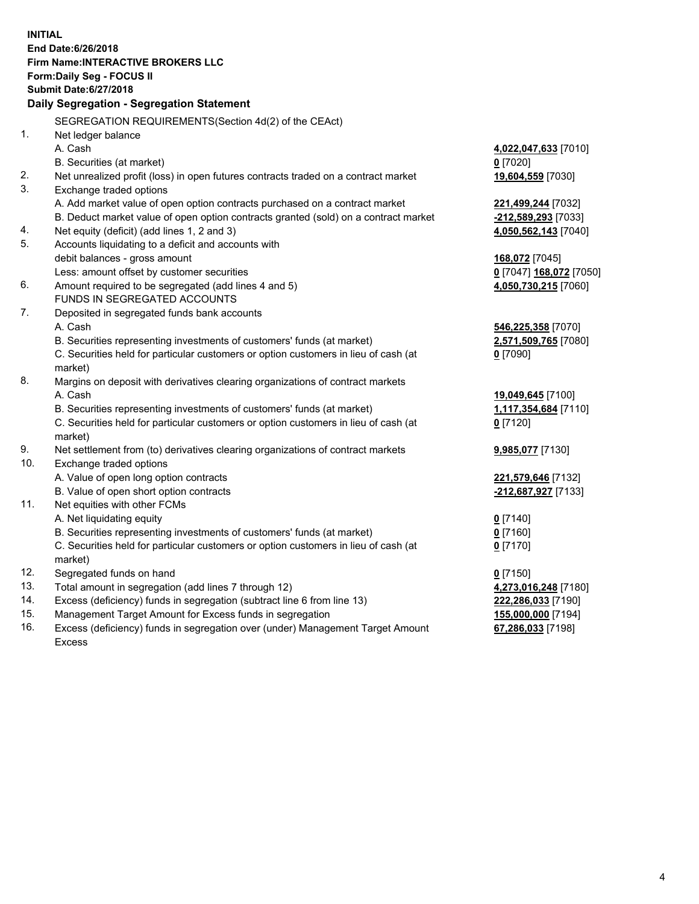**INITIAL End Date:6/26/2018 Firm Name:INTERACTIVE BROKERS LLC Form:Daily Seg - FOCUS II Submit Date:6/27/2018 Daily Segregation - Segregation Statement** SEGREGATION REQUIREMENTS(Section 4d(2) of the CEAct) 1. Net ledger balance A. Cash **4,022,047,633** [7010] B. Securities (at market) **0** [7020] 2. Net unrealized profit (loss) in open futures contracts traded on a contract market **19,604,559** [7030] 3. Exchange traded options A. Add market value of open option contracts purchased on a contract market **221,499,244** [7032] B. Deduct market value of open option contracts granted (sold) on a contract market **-212,589,293** [7033] 4. Net equity (deficit) (add lines 1, 2 and 3) **4,050,562,143** [7040] 5. Accounts liquidating to a deficit and accounts with debit balances - gross amount **168,072** [7045] Less: amount offset by customer securities **0** [7047] **168,072** [7050] 6. Amount required to be segregated (add lines 4 and 5) **4,050,730,215** [7060] FUNDS IN SEGREGATED ACCOUNTS 7. Deposited in segregated funds bank accounts A. Cash **546,225,358** [7070] B. Securities representing investments of customers' funds (at market) **2,571,509,765** [7080] C. Securities held for particular customers or option customers in lieu of cash (at market) **0** [7090] 8. Margins on deposit with derivatives clearing organizations of contract markets A. Cash **19,049,645** [7100] B. Securities representing investments of customers' funds (at market) **1,117,354,684** [7110] C. Securities held for particular customers or option customers in lieu of cash (at market) **0** [7120] 9. Net settlement from (to) derivatives clearing organizations of contract markets **9,985,077** [7130] 10. Exchange traded options A. Value of open long option contracts **221,579,646** [7132] B. Value of open short option contracts **-212,687,927** [7133] 11. Net equities with other FCMs A. Net liquidating equity **0** [7140] B. Securities representing investments of customers' funds (at market) **0** [7160] C. Securities held for particular customers or option customers in lieu of cash (at market) **0** [7170] 12. Segregated funds on hand **0** [7150] 13. Total amount in segregation (add lines 7 through 12) **4,273,016,248** [7180] 14. Excess (deficiency) funds in segregation (subtract line 6 from line 13) **222,286,033** [7190] 15. Management Target Amount for Excess funds in segregation **155,000,000** [7194]

16. Excess (deficiency) funds in segregation over (under) Management Target Amount Excess

**67,286,033** [7198]